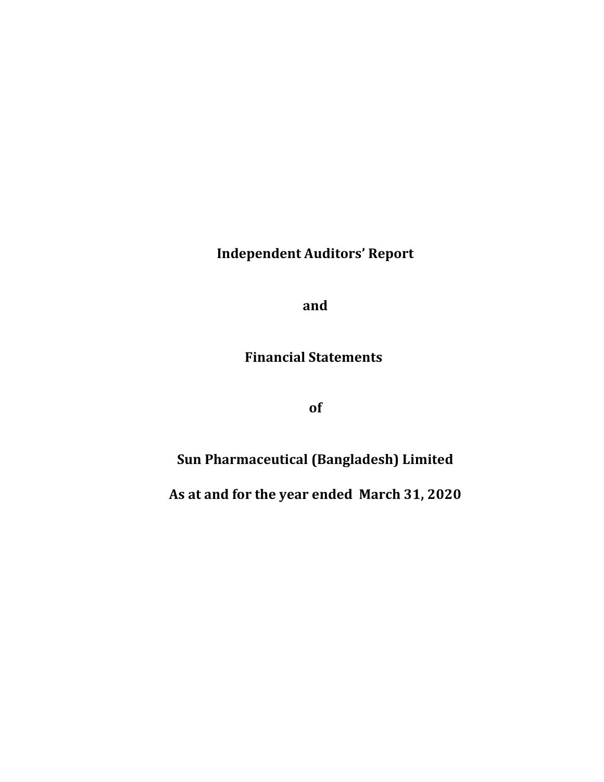Independent Auditors' Report

and

Financial Statements

of

# Sun Pharmaceutical (Bangladesh) Limited

As at and for the year ended March 31, 2020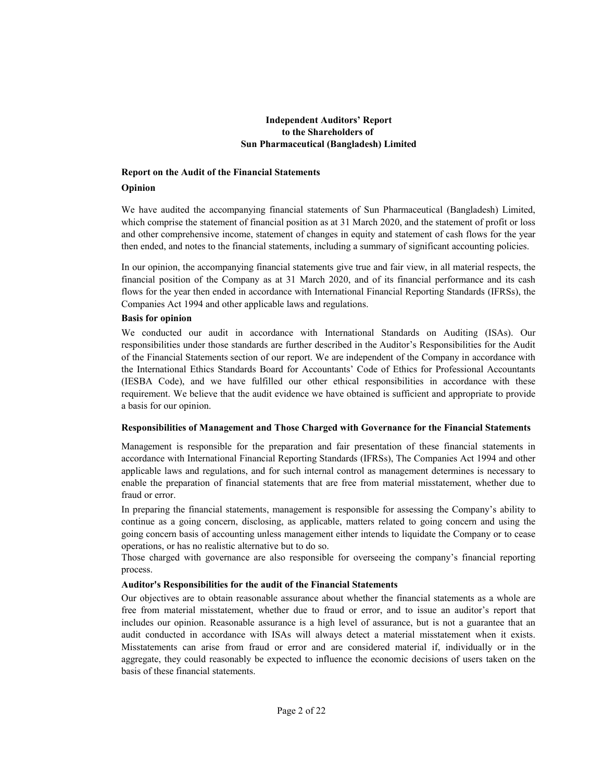# Independent Auditors' Report to the Shareholders of Sun Pharmaceutical (Bangladesh) Limited

# Report on the Audit of the Financial Statements

# Opinion

We have audited the accompanying financial statements of Sun Pharmaceutical (Bangladesh) Limited, which comprise the statement of financial position as at 31 March 2020, and the statement of profit or loss and other comprehensive income, statement of changes in equity and statement of cash flows for the year then ended, and notes to the financial statements, including a summary of significant accounting policies.

In our opinion, the accompanying financial statements give true and fair view, in all material respects, the financial position of the Company as at 31 March 2020, and of its financial performance and its cash flows for the year then ended in accordance with International Financial Reporting Standards (IFRSs), the Companies Act 1994 and other applicable laws and regulations.

# Basis for opinion

We conducted our audit in accordance with International Standards on Auditing (ISAs). Our responsibilities under those standards are further described in the Auditor's Responsibilities for the Audit of the Financial Statements section of our report. We are independent of the Company in accordance with the International Ethics Standards Board for Accountants' Code of Ethics for Professional Accountants (IESBA Code), and we have fulfilled our other ethical responsibilities in accordance with these requirement. We believe that the audit evidence we have obtained is sufficient and appropriate to provide a basis for our opinion.

# Responsibilities of Management and Those Charged with Governance for the Financial Statements

Management is responsible for the preparation and fair presentation of these financial statements in accordance with International Financial Reporting Standards (IFRSs), The Companies Act 1994 and other applicable laws and regulations, and for such internal control as management determines is necessary to enable the preparation of financial statements that are free from material misstatement, whether due to fraud or error.

In preparing the financial statements, management is responsible for assessing the Company's ability to continue as a going concern, disclosing, as applicable, matters related to going concern and using the going concern basis of accounting unless management either intends to liquidate the Company or to cease operations, or has no realistic alternative but to do so.

Those charged with governance are also responsible for overseeing the company's financial reporting process.

# Auditor's Responsibilities for the audit of the Financial Statements

Our objectives are to obtain reasonable assurance about whether the financial statements as a whole are free from material misstatement, whether due to fraud or error, and to issue an auditor's report that includes our opinion. Reasonable assurance is a high level of assurance, but is not a guarantee that an audit conducted in accordance with ISAs will always detect a material misstatement when it exists. Misstatements can arise from fraud or error and are considered material if, individually or in the aggregate, they could reasonably be expected to influence the economic decisions of users taken on the basis of these financial statements.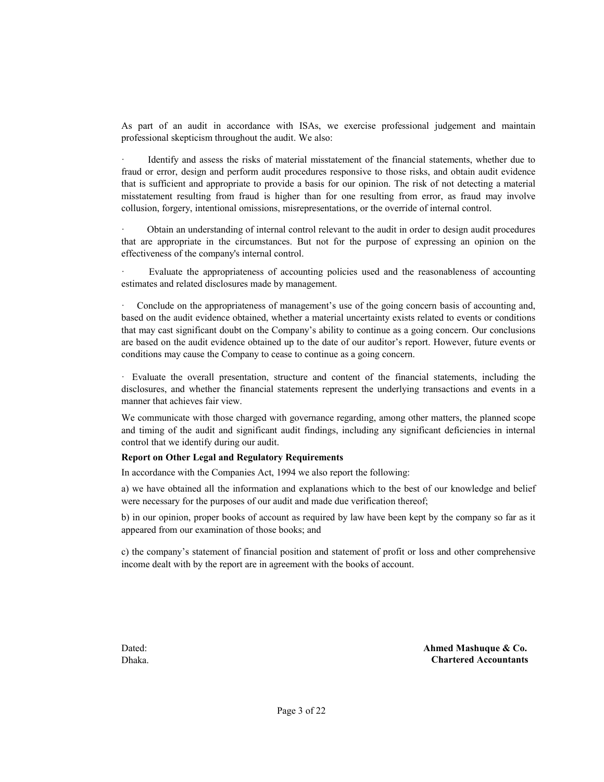As part of an audit in accordance with ISAs, we exercise professional judgement and maintain professional skepticism throughout the audit. We also:

Identify and assess the risks of material misstatement of the financial statements, whether due to fraud or error, design and perform audit procedures responsive to those risks, and obtain audit evidence that is sufficient and appropriate to provide a basis for our opinion. The risk of not detecting a material misstatement resulting from fraud is higher than for one resulting from error, as fraud may involve collusion, forgery, intentional omissions, misrepresentations, or the override of internal control.

· Obtain an understanding of internal control relevant to the audit in order to design audit procedures that are appropriate in the circumstances. But not for the purpose of expressing an opinion on the effectiveness of the company's internal control.

· Evaluate the appropriateness of accounting policies used and the reasonableness of accounting estimates and related disclosures made by management.

· Conclude on the appropriateness of management's use of the going concern basis of accounting and, based on the audit evidence obtained, whether a material uncertainty exists related to events or conditions that may cast significant doubt on the Company's ability to continue as a going concern. Our conclusions are based on the audit evidence obtained up to the date of our auditor's report. However, future events or conditions may cause the Company to cease to continue as a going concern.

· Evaluate the overall presentation, structure and content of the financial statements, including the disclosures, and whether the financial statements represent the underlying transactions and events in a manner that achieves fair view.

We communicate with those charged with governance regarding, among other matters, the planned scope and timing of the audit and significant audit findings, including any significant deficiencies in internal control that we identify during our audit.

# Report on Other Legal and Regulatory Requirements

In accordance with the Companies Act, 1994 we also report the following:

a) we have obtained all the information and explanations which to the best of our knowledge and belief were necessary for the purposes of our audit and made due verification thereof;

b) in our opinion, proper books of account as required by law have been kept by the company so far as it appeared from our examination of those books; and

c) the company's statement of financial position and statement of profit or loss and other comprehensive income dealt with by the report are in agreement with the books of account.

Dhaka.

Dated: Ahmed Mashuque & Co. Chartered Accountants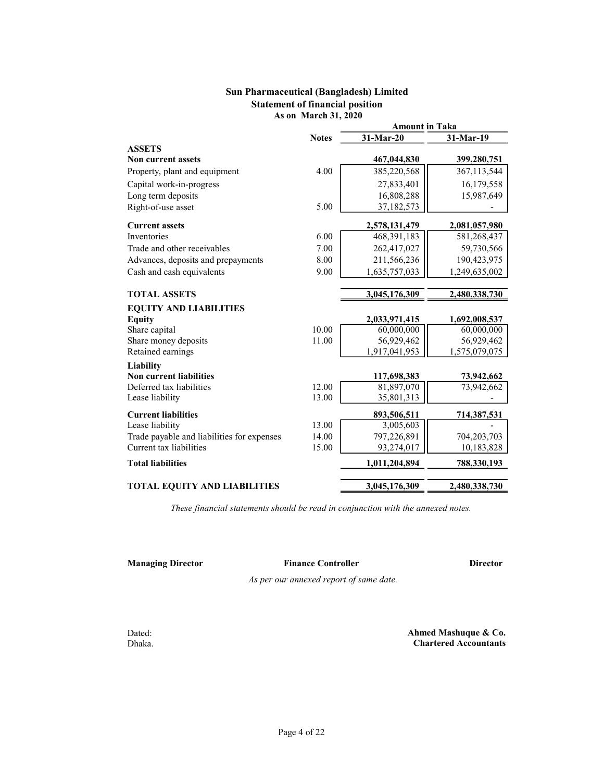# Statement of financial position Sun Pharmaceutical (Bangladesh) Limited As on March 31, 2020

|                                            |              | <b>Amount in Taka</b> |               |
|--------------------------------------------|--------------|-----------------------|---------------|
|                                            | <b>Notes</b> | 31-Mar-20             | 31-Mar-19     |
| <b>ASSETS</b>                              |              |                       |               |
| Non current assets                         |              | 467,044,830           | 399,280,751   |
| Property, plant and equipment              | 4.00         | 385,220,568           | 367,113,544   |
| Capital work-in-progress                   |              | 27,833,401            | 16,179,558    |
| Long term deposits                         |              | 16,808,288            | 15,987,649    |
| Right-of-use asset                         | 5.00         | 37,182,573            |               |
| <b>Current assets</b>                      |              | 2,578,131,479         | 2,081,057,980 |
| Inventories                                | 6.00         | 468, 391, 183         | 581,268,437   |
| Trade and other receivables                | 7.00         | 262,417,027           | 59,730,566    |
| Advances, deposits and prepayments         | 8.00         | 211,566,236           | 190,423,975   |
| Cash and cash equivalents                  | 9.00         | 1,635,757,033         | 1,249,635,002 |
|                                            |              |                       |               |
| <b>TOTAL ASSETS</b>                        |              | 3,045,176,309         | 2,480,338,730 |
| <b>EQUITY AND LIABILITIES</b>              |              |                       |               |
| <b>Equity</b>                              |              | 2,033,971,415         | 1,692,008,537 |
| Share capital                              | 10.00        | 60,000,000            | 60,000,000    |
| Share money deposits                       | 11.00        | 56,929,462            | 56,929,462    |
| Retained earnings                          |              | 1,917,041,953         | 1,575,079,075 |
| Liability                                  |              |                       |               |
| <b>Non current liabilities</b>             |              | 117,698,383           | 73,942,662    |
| Deferred tax liabilities                   | 12.00        | 81,897,070            | 73,942,662    |
| Lease liability                            | 13.00        | 35,801,313            |               |
| <b>Current liabilities</b>                 |              | 893,506,511           | 714,387,531   |
| Lease liability                            | 13.00        | 3,005,603             |               |
| Trade payable and liabilities for expenses | 14.00        | 797,226,891           | 704,203,703   |
| Current tax liabilities                    | 15.00        | 93,274,017            | 10,183,828    |
| <b>Total liabilities</b>                   |              | 1,011,204,894         | 788,330,193   |
| <b>TOTAL EQUITY AND LIABILITIES</b>        |              | 3,045,176,309         | 2,480,338,730 |
|                                            |              |                       |               |

These financial statements should be read in conjunction with the annexed notes.

Managing Director **Director** Finance Controller **Director** Director Finance Controller

As per our annexed report of same date.

Dated: Dhaka.  Ahmed Mashuque & Co. Chartered Accountants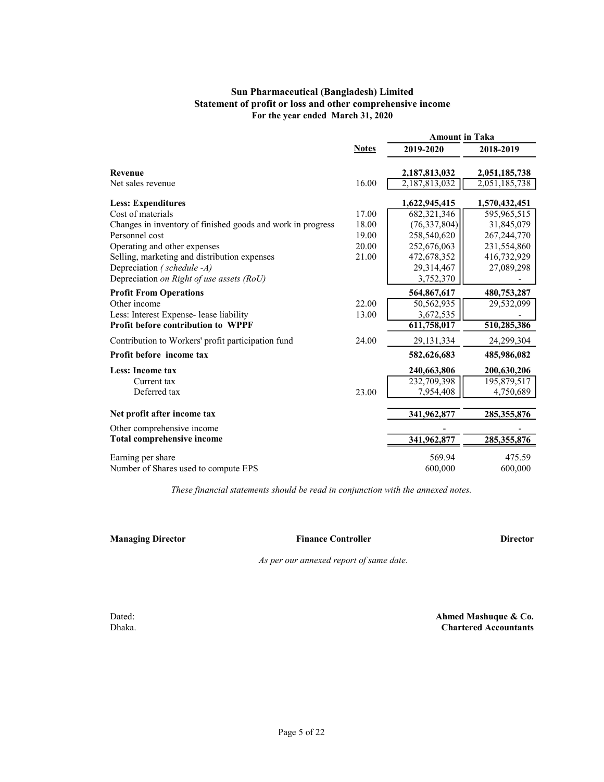# Sun Pharmaceutical (Bangladesh) Limited Statement of profit or loss and other comprehensive income For the year ended March 31, 2020

|                                                             |              | <b>Amount in Taka</b> |                   |
|-------------------------------------------------------------|--------------|-----------------------|-------------------|
|                                                             | <b>Notes</b> | 2019-2020             | 2018-2019         |
| Revenue<br>Net sales revenue                                | 16.00        | 2,187,813,032         | 2,051,185,738     |
|                                                             |              | 2,187,813,032         | 2,051,185,738     |
| <b>Less: Expenditures</b>                                   |              | 1,622,945,415         | 1,570,432,451     |
| Cost of materials                                           | 17.00        | 682, 321, 346         | 595,965,515       |
| Changes in inventory of finished goods and work in progress | 18.00        | (76, 337, 804)        | 31,845,079        |
| Personnel cost                                              | 19.00        | 258,540,620           | 267,244,770       |
| Operating and other expenses                                | 20.00        | 252,676,063           | 231,554,860       |
| Selling, marketing and distribution expenses                | 21.00        | 472,678,352           | 416,732,929       |
| Depreciation (schedule -A)                                  |              | 29,314,467            | 27,089,298        |
| Depreciation on Right of use assets (RoU)                   |              | 3,752,370             |                   |
| <b>Profit From Operations</b>                               |              | 564,867,617           | 480,753,287       |
| Other income                                                | 22.00        | 50,562,935            | 29,532,099        |
| Less: Interest Expense- lease liability                     | 13.00        | 3,672,535             |                   |
| <b>Profit before contribution to WPPF</b>                   |              | 611,758,017           | 510,285,386       |
| Contribution to Workers' profit participation fund          | 24.00        | 29, 131, 334          | 24,299,304        |
| Profit before income tax                                    |              | 582,626,683           | 485,986,082       |
| <b>Less:</b> Income tax                                     |              | 240,663,806           | 200,630,206       |
| Current tax                                                 |              | 232,709,398           | 195,879,517       |
| Deferred tax                                                | 23.00        | 7,954,408             | 4,750,689         |
| Net profit after income tax                                 |              | 341,962,877           | 285, 355, 876     |
| Other comprehensive income                                  |              |                       |                   |
| Total comprehensive income                                  |              | 341,962,877           | 285,355,876       |
| Earning per share<br>Number of Shares used to compute EPS   |              | 569.94<br>600,000     | 475.59<br>600,000 |

These financial statements should be read in conjunction with the annexed notes.

#### Managing Director **Director** Finance Controller **Director** Director Finance Controller

As per our annexed report of same date.

Dated: Dhaka.

 Chartered Accountants Ahmed Mashuque & Co.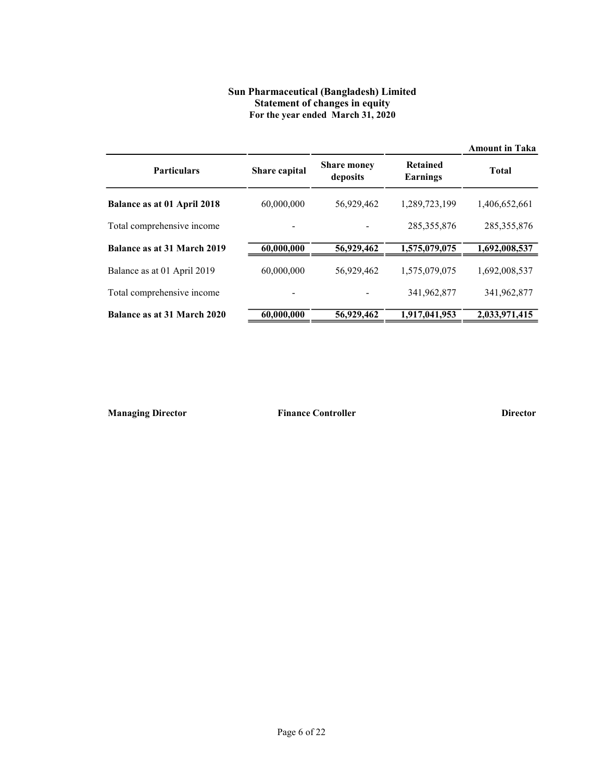# Sun Pharmaceutical (Bangladesh) Limited Statement of changes in equity For the year ended March 31, 2020

|                                    |               |                                |                             | <b>Amount in Taka</b> |
|------------------------------------|---------------|--------------------------------|-----------------------------|-----------------------|
| <b>Particulars</b>                 | Share capital | <b>Share money</b><br>deposits | <b>Retained</b><br>Earnings | <b>Total</b>          |
| Balance as at 01 April 2018        | 60,000,000    | 56,929,462                     | 1,289,723,199               | 1,406,652,661         |
| Total comprehensive income         |               |                                | 285, 355, 876               | 285, 355, 876         |
| Balance as at 31 March 2019        | 60,000,000    | 56,929,462                     | 1,575,079,075               | 1,692,008,537         |
| Balance as at 01 April 2019        | 60,000,000    | 56,929,462                     | 1,575,079,075               | 1,692,008,537         |
| Total comprehensive income         |               |                                | 341,962,877                 | 341,962,877           |
| <b>Balance as at 31 March 2020</b> | 60,000,000    | 56,929,462                     | 1.917.041.953               | 2.033.971.415         |

Managing Director **Director** Finance Controller **Director** Director

Finance Controller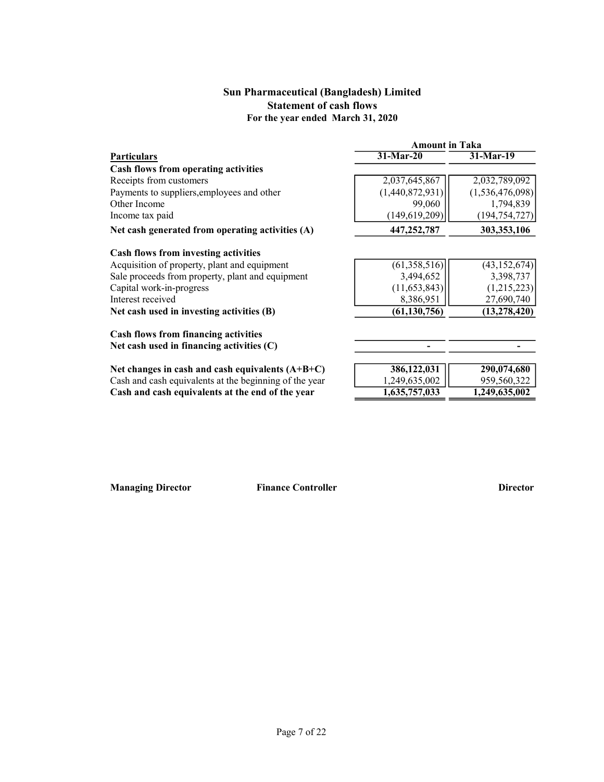# Sun Pharmaceutical (Bangladesh) Limited Statement of cash flows For the year ended March 31, 2020

|                                                  | <b>Amount in Taka</b> |                 |  |
|--------------------------------------------------|-----------------------|-----------------|--|
| Particulars                                      | $31-Mar-20$           | 31-Mar-19       |  |
| <b>Cash flows from operating activities</b>      |                       |                 |  |
| Receipts from customers                          | 2,037,645,867         | 2,032,789,092   |  |
| Payments to suppliers, employees and other       | (1,440,872,931)       | (1,536,476,098) |  |
| Other Income                                     | 99,060                | 1,794,839       |  |
| Income tax paid                                  | (149, 619, 209)       | (194, 754, 727) |  |
| Net cash generated from operating activities (A) | 447,252,787           | 303,353,106     |  |
| <b>Cash flows from investing activities</b>      |                       |                 |  |
| Acquisition of property, plant and equipment     | (61, 358, 516)        | (43, 152, 674)  |  |
| Sale proceeds from property, plant and equipment | 3,494,652             | 3,398,737       |  |
| Capital work-in-progress                         | (11, 653, 843)        | (1,215,223)     |  |
| Interest received                                | 8,386,951             | 27,690,740      |  |
| Net cash used in investing activities (B)        | (61, 130, 756)        | (13, 278, 420)  |  |

Cash flows from financing activities Net cash used in financing activities  $(C)$ 

Net changes in cash and cash equivalents  $(A+B+C)$ Cash and cash equivalents at the beginning of the year Cash and cash equivalents at the end of the year

| $386,122,031$   <br>290,074,680 |
|---------------------------------|
| 1,249,635,002<br>959,560,322    |
| 1,249,635,002                   |
|                                 |

Managing Director Finance Controller **Example 2018** Director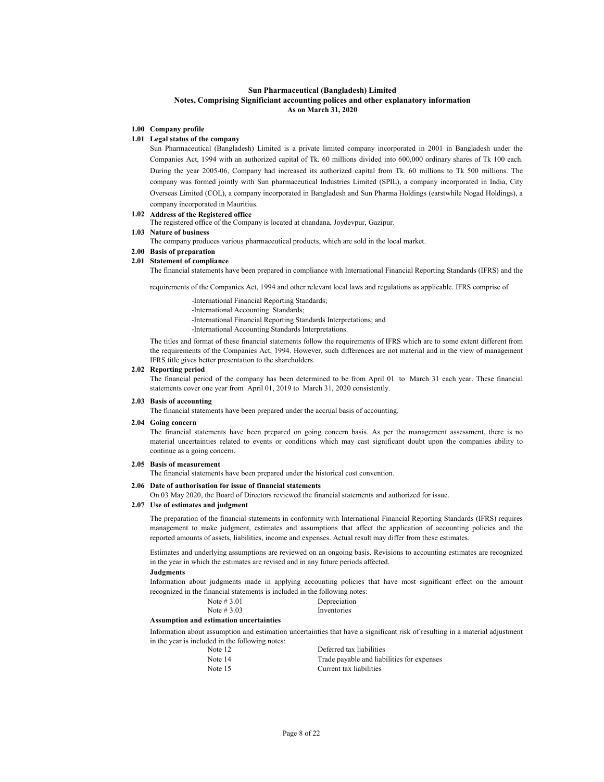#### Sun Pharmaceutical (Bangladesh) Limited Notes, Comprising Significiant accounting polices and other explanatory information As on March 31, 2020

1.00 Company profile

#### 1.01 Legal status of the company

Sun Pharmaceutical (Bangladesh) Limited is a private limited company incorporated in 2001 in Bangladesh under the Companies Act, 1994 with an authorized capital of Tk. 60 millions divided into 600,000 ordinary shares of Tk 100 each. During the year 2005-06, Company had increased its authorized capital from Tk. 60 millions to Tk 500 millions. The company was formed jointly with Sun pharmaceutical Industries Limited (SPIL), a company incorporated in India, City Overseas Limited (COL), a company incorporated in Bangladesh and Sun Pharma Holdings (earstwhile Nogad Holdings), a company incorporated in Mauritius.

1.02 Address of the Registered office

The registered office of the Company is located at chandana, Joydevpur, Gazipur.

- 1.03 Nature of business
	- The company produces various pharmaceutical products, which are sold in the local market.

#### 2.00 Basis of preparation

#### 2.01 Statement of compliance

The financial statements have been prepared in compliance with International Financial Reporting Standards (IFRS) and the

requirements of the Companies Act, 1994 and other relevant local laws and regulations as applicable. IFRS comprise of

-International Financial Reporting Standards;

- -International Accounting Standards;
- -International Financial Reporting Standards Interpretations; and
- -International Accounting Standards Interpretations.

The titles and format of these financial statements follow the requirements of IFRS which are to some extent different from the requirements of the Companies Act, 1994. However, such differences are not material and in the view of management IFRS title gives better presentation to the shareholders.

#### 2.02 Reporting period

The financial period of the company has been determined to be from April 01 to March 31 each year. These financial statements cover one year from April 01, 2019 to March 31, 2020 consistently.

#### 2.03 Basis of accounting

The financial statements have been prepared under the accrual basis of accounting.

#### 2.04 Going concern

The financial statements have been prepared on going concern basis. As per the management assessment, there is no material uncertainties related to events or conditions which may cast significant doubt upon the companies ability to continue as a going concern.

2.05 Basis of measurement

The financial statements have been prepared under the historical cost convention.

#### 2.06 Date of authorisation for issue of financial statements

On 03 May 2020, the Board of Directors reviewed the financial statements and authorized for issue.

#### 2.07 Use of estimates and judgment

The preparation of the financial statements in conformity with International Financial Reporting Standards (IFRS) requires management to make judgment, estimates and assumptions that affect the application of accounting policies and the reported amounts of assets, liabilities, income and expenses. Actual result may differ from these estimates.

Estimates and underlying assumptions are reviewed on an ongoing basis. Revisions to accounting estimates are recognized in the year in which the estimates are revised and in any future periods affected.

#### **Judgments**

Information about judgments made in applying accounting policies that have most significant effect on the amount recognized in the financial statements is included in the following notes:

| Note $\#3.01$  | Depreciation |
|----------------|--------------|
| Note $\#$ 3.03 | Inventories  |

#### Assumption and estimation uncertainties

Information about assumption and estimation uncertainties that have a significant risk of resulting in a material adjustment in the year is included in the following notes:

| Note 12 | Deferred tax liabilities                   |
|---------|--------------------------------------------|
| Note 14 | Trade payable and liabilities for expenses |
| Note 15 | Current tax liabilities                    |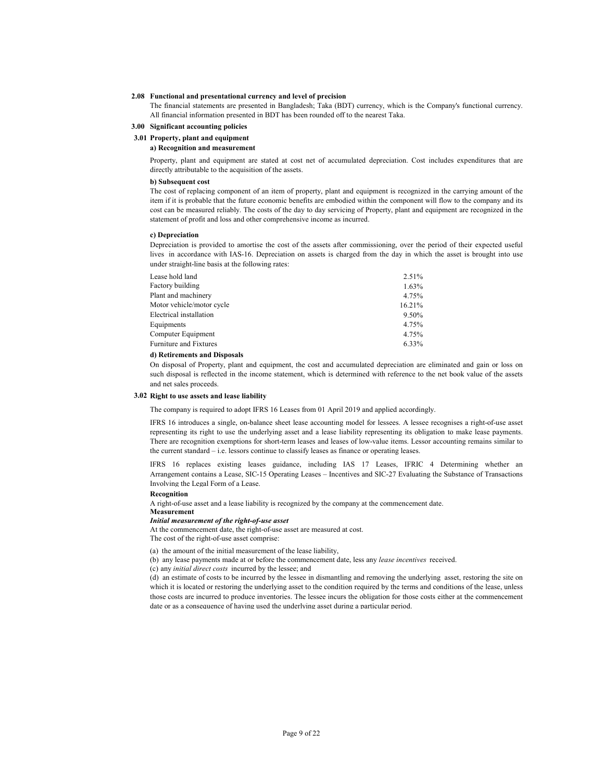#### Functional and presentational currency and level of precision 2.08

The financial statements are presented in Bangladesh; Taka (BDT) currency, which is the Company's functional currency. All financial information presented in BDT has been rounded off to the nearest Taka.

#### 3.00 Significant accounting policies

#### 3.01 Property, plant and equipment

#### a) Recognition and measurement

Property, plant and equipment are stated at cost net of accumulated depreciation. Cost includes expenditures that are directly attributable to the acquisition of the assets.

#### b) Subsequent cost

The cost of replacing component of an item of property, plant and equipment is recognized in the carrying amount of the item if it is probable that the future economic benefits are embodied within the component will flow to the company and its cost can be measured reliably. The costs of the day to day servicing of Property, plant and equipment are recognized in the statement of profit and loss and other comprehensive income as incurred.

#### c) Depreciation

Depreciation is provided to amortise the cost of the assets after commissioning, over the period of their expected useful lives in accordance with IAS-16. Depreciation on assets is charged from the day in which the asset is brought into use under straight-line basis at the following rates:

| Lease hold land           | 2.51%  |
|---------------------------|--------|
| Factory building          | 1.63%  |
| Plant and machinery       | 4.75%  |
| Motor vehicle/motor cycle | 16.21% |
| Electrical installation   | 9.50%  |
| Equipments                | 4.75%  |
| Computer Equipment        | 4.75%  |
| Furniture and Fixtures    | 6.33%  |
|                           |        |

#### d) Retirements and Disposals

On disposal of Property, plant and equipment, the cost and accumulated depreciation are eliminated and gain or loss on such disposal is reflected in the income statement, which is determined with reference to the net book value of the assets and net sales proceeds.

#### 3.02 Right to use assets and lease liability

The company is required to adopt IFRS 16 Leases from 01 April 2019 and applied accordingly.

IFRS 16 introduces a single, on-balance sheet lease accounting model for lessees. A lessee recognises a right-of-use asset representing its right to use the underlying asset and a lease liability representing its obligation to make lease payments. There are recognition exemptions for short-term leases and leases of low-value items. Lessor accounting remains similar to the current standard – i.e. lessors continue to classify leases as finance or operating leases.

IFRS 16 replaces existing leases guidance, including IAS 17 Leases, IFRIC 4 Determining whether an Arrangement contains a Lease, SIC-15 Operating Leases – Incentives and SIC-27 Evaluating the Substance of Transactions Involving the Legal Form of a Lease.

#### Recognition

Measurement A right-of-use asset and a lease liability is recognized by the company at the commencement date.

#### Initial measurement of the right-of-use asset

At the commencement date, the right-of-use asset are measured at cost.

The cost of the right-of-use asset comprise:

(a) the amount of the initial measurement of the lease liability,

(b) any lease payments made at or before the commencement date, less any lease incentives received.

(c) any initial direct costs incurred by the lessee; and

(d) an estimate of costs to be incurred by the lessee in dismantling and removing the underlying asset, restoring the site on which it is located or restoring the underlying asset to the condition required by the terms and conditions of the lease, unless those costs are incurred to produce inventories. The lessee incurs the obligation for those costs either at the commencement date or as a consequence of having used the underlying asset during a particular period.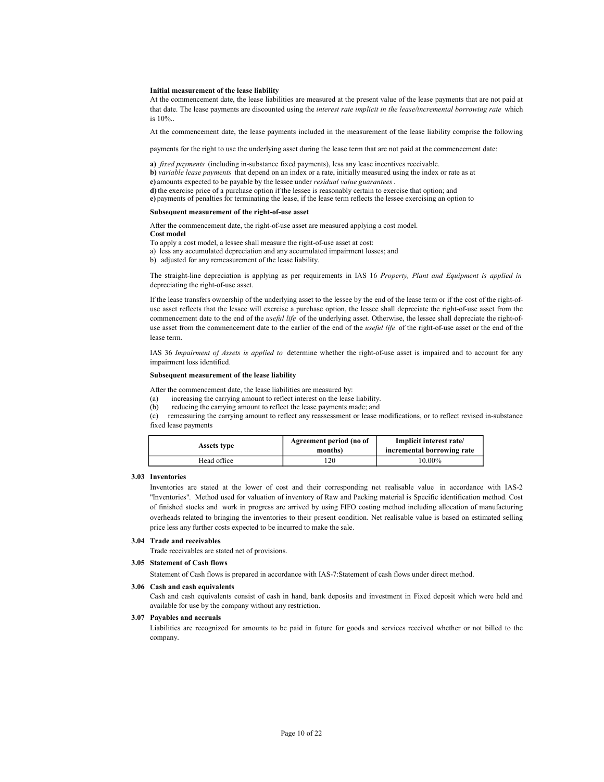#### Initial measurement of the lease liability

At the commencement date, the lease liabilities are measured at the present value of the lease payments that are not paid at that date. The lease payments are discounted using the interest rate implicit in the lease/incremental borrowing rate which is 10%..

At the commencement date, the lease payments included in the measurement of the lease liability comprise the following

payments for the right to use the underlying asset during the lease term that are not paid at the commencement date:

a) fixed payments (including in-substance fixed payments), less any lease incentives receivable.

c) amounts expected to be payable by the lessee under residual value guarantees. b) variable lease payments that depend on an index or a rate, initially measured using the index or rate as at

d) the exercise price of a purchase option if the lessee is reasonably certain to exercise that option; and

e) payments of penalties for terminating the lease, if the lease term reflects the lessee exercising an option to

#### Subsequent measurement of the right-of-use asset

After the commencement date, the right-of-use asset are measured applying a cost model.

Cost model

To apply a cost model, a lessee shall measure the right-of-use asset at cost:

a) less any accumulated depreciation and any accumulated impairment losses; and

b) adjusted for any remeasurement of the lease liability.

The straight-line depreciation is applying as per requirements in IAS 16 Property, Plant and Equipment is applied in depreciating the right-of-use asset.

If the lease transfers ownership of the underlying asset to the lessee by the end of the lease term or if the cost of the right-ofuse asset reflects that the lessee will exercise a purchase option, the lessee shall depreciate the right-of-use asset from the commencement date to the end of the useful life of the underlying asset. Otherwise, the lessee shall depreciate the right-ofuse asset from the commencement date to the earlier of the end of the useful life of the right-of-use asset or the end of the lease term.

IAS 36 Impairment of Assets is applied to determine whether the right-of-use asset is impaired and to account for any impairment loss identified.

#### Subsequent measurement of the lease liability

After the commencement date, the lease liabilities are measured by:

(a) increasing the carrying amount to reflect interest on the lease liability.

(b) reducing the carrying amount to reflect the lease payments made; and

(c) remeasuring the carrying amount to reflect any reassessment or lease modifications, or to reflect revised in-substance fixed lease payments

| Assets type | Agreement period (no of<br>months) | Implicit interest rate/<br>incremental borrowing rate |
|-------------|------------------------------------|-------------------------------------------------------|
| Head office | 20                                 | 10.00%                                                |

#### 3.03 Inventories

Inventories are stated at the lower of cost and their corresponding net realisable value in accordance with IAS-2 "Inventories". Method used for valuation of inventory of Raw and Packing material is Specific identification method. Cost of finished stocks and work in progress are arrived by using FIFO costing method including allocation of manufacturing overheads related to bringing the inventories to their present condition. Net realisable value is based on estimated selling price less any further costs expected to be incurred to make the sale.

#### 3.04 Trade and receivables

Trade receivables are stated net of provisions.

#### 3.05 Statement of Cash flows

Statement of Cash flows is prepared in accordance with IAS-7:Statement of cash flows under direct method.

#### 3.06 Cash and cash equivalents

Cash and cash equivalents consist of cash in hand, bank deposits and investment in Fixed deposit which were held and available for use by the company without any restriction.

#### 3.07 Payables and accruals

Liabilities are recognized for amounts to be paid in future for goods and services received whether or not billed to the company.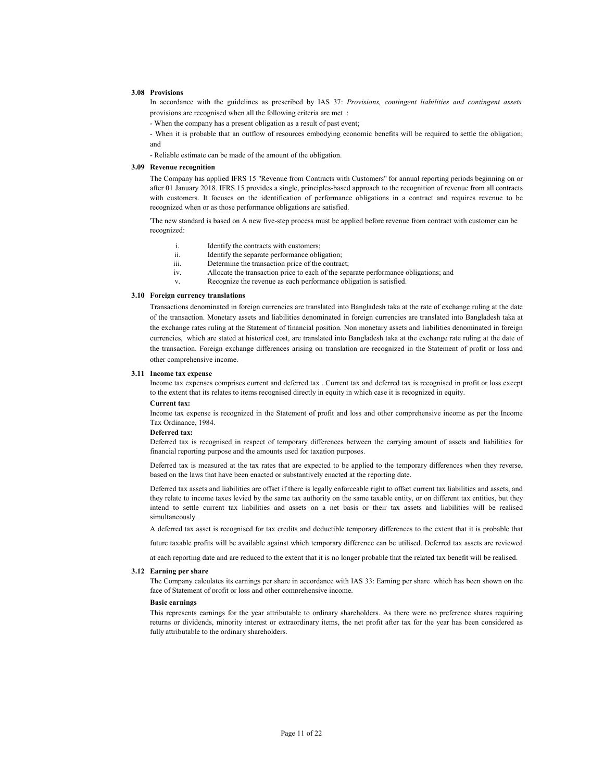#### 3.08 Provisions

In accordance with the guidelines as prescribed by IAS 37: Provisions, contingent liabilities and contingent assets provisions are recognised when all the following criteria are met :

- When the company has a present obligation as a result of past event;

- When it is probable that an outflow of resources embodying economic benefits will be required to settle the obligation; and

- Reliable estimate can be made of the amount of the obligation.

#### 3.09 Revenue recognition

The Company has applied IFRS 15 "Revenue from Contracts with Customers" for annual reporting periods beginning on or after 01 January 2018. IFRS 15 provides a single, principles-based approach to the recognition of revenue from all contracts with customers. It focuses on the identification of performance obligations in a contract and requires revenue to be recognized when or as those performance obligations are satisfied.

'The new standard is based on A new five-step process must be applied before revenue from contract with customer can be recognized:

- i. Identify the contracts with customers;
- ii. Identify the separate performance obligation;
- iii. Determine the transaction price of the contract;
- iv. Allocate the transaction price to each of the separate performance obligations; and
- v. Recognize the revenue as each performance obligation is satisfied.

#### 3.10 Foreign currency translations

Transactions denominated in foreign currencies are translated into Bangladesh taka at the rate of exchange ruling at the date of the transaction. Monetary assets and liabilities denominated in foreign currencies are translated into Bangladesh taka at the exchange rates ruling at the Statement of financial position. Non monetary assets and liabilities denominated in foreign currencies, which are stated at historical cost, are translated into Bangladesh taka at the exchange rate ruling at the date of the transaction. Foreign exchange differences arising on translation are recognized in the Statement of profit or loss and other comprehensive income.

#### 3.11 Income tax expense

Income tax expenses comprises current and deferred tax . Current tax and deferred tax is recognised in profit or loss except to the extent that its relates to items recognised directly in equity in which case it is recognized in equity.

#### Current tax:

Income tax expense is recognized in the Statement of profit and loss and other comprehensive income as per the Income Tax Ordinance, 1984.

#### Deferred tax:

Deferred tax is recognised in respect of temporary differences between the carrying amount of assets and liabilities for financial reporting purpose and the amounts used for taxation purposes.

Deferred tax is measured at the tax rates that are expected to be applied to the temporary differences when they reverse, based on the laws that have been enacted or substantively enacted at the reporting date.

Deferred tax assets and liabilities are offset if there is legally enforceable right to offset current tax liabilities and assets, and they relate to income taxes levied by the same tax authority on the same taxable entity, or on different tax entities, but they intend to settle current tax liabilities and assets on a net basis or their tax assets and liabilities will be realised simultaneously.

A deferred tax asset is recognised for tax credits and deductible temporary differences to the extent that it is probable that

future taxable profits will be available against which temporary difference can be utilised. Deferred tax assets are reviewed

at each reporting date and are reduced to the extent that it is no longer probable that the related tax benefit will be realised.

#### 3.12 Earning per share

The Company calculates its earnings per share in accordance with IAS 33: Earning per share which has been shown on the face of Statement of profit or loss and other comprehensive income.

#### Basic earnings

This represents earnings for the year attributable to ordinary shareholders. As there were no preference shares requiring returns or dividends, minority interest or extraordinary items, the net profit after tax for the year has been considered as fully attributable to the ordinary shareholders.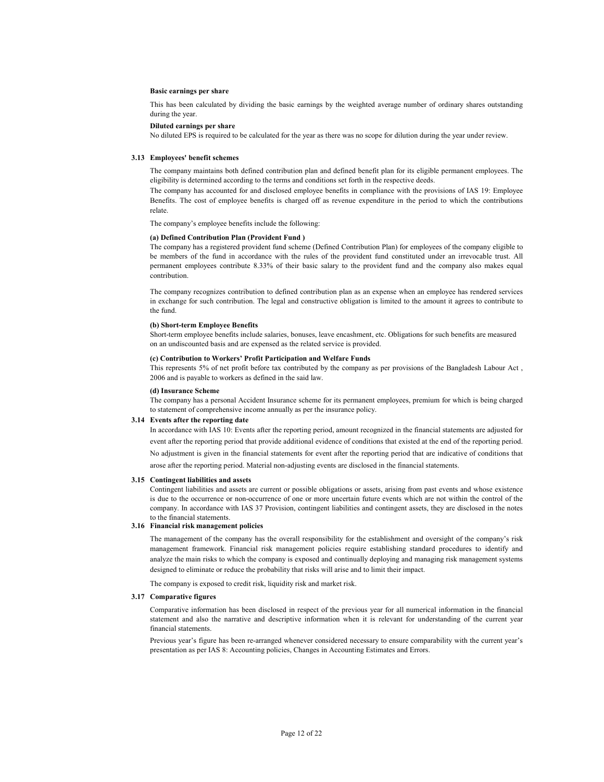#### Basic earnings per share

This has been calculated by dividing the basic earnings by the weighted average number of ordinary shares outstanding during the year.

#### Diluted earnings per share

No diluted EPS is required to be calculated for the year as there was no scope for dilution during the year under review.

#### Employees' benefit schemes 3.13

The company maintains both defined contribution plan and defined benefit plan for its eligible permanent employees. The eligibility is determined according to the terms and conditions set forth in the respective deeds.

The company has accounted for and disclosed employee benefits in compliance with the provisions of IAS 19: Employee Benefits. The cost of employee benefits is charged off as revenue expenditure in the period to which the contributions relate.

The company's employee benefits include the following:

#### (a) Defined Contribution Plan (Provident Fund )

The company has a registered provident fund scheme (Defined Contribution Plan) for employees of the company eligible to be members of the fund in accordance with the rules of the provident fund constituted under an irrevocable trust. All permanent employees contribute 8.33% of their basic salary to the provident fund and the company also makes equal contribution.

The company recognizes contribution to defined contribution plan as an expense when an employee has rendered services in exchange for such contribution. The legal and constructive obligation is limited to the amount it agrees to contribute to the fund.

#### (b) Short-term Employee Benefits

Short-term employee benefits include salaries, bonuses, leave encashment, etc. Obligations for such benefits are measured on an undiscounted basis and are expensed as the related service is provided.

#### (c) Contribution to Workers' Profit Participation and Welfare Funds

This represents 5% of net profit before tax contributed by the company as per provisions of the Bangladesh Labour Act, 2006 and is payable to workers as defined in the said law.

#### (d) Insurance Scheme

The company has a personal Accident Insurance scheme for its permanent employees, premium for which is being charged to statement of comprehensive income annually as per the insurance policy.

#### 3.14 Events after the reporting date

In accordance with IAS 10: Events after the reporting period, amount recognized in the financial statements are adjusted for event after the reporting period that provide additional evidence of conditions that existed at the end of the reporting period. No adjustment is given in the financial statements for event after the reporting period that are indicative of conditions that arose after the reporting period. Material non-adjusting events are disclosed in the financial statements.

#### 3.15 Contingent liabilities and assets

Contingent liabilities and assets are current or possible obligations or assets, arising from past events and whose existence is due to the occurrence or non-occurrence of one or more uncertain future events which are not within the control of the company. In accordance with IAS 37 Provision, contingent liabilities and contingent assets, they are disclosed in the notes to the financial statements.

#### 3.16 Financial risk management policies

The management of the company has the overall responsibility for the establishment and oversight of the company's risk management framework. Financial risk management policies require establishing standard procedures to identify and analyze the main risks to which the company is exposed and continually deploying and managing risk management systems designed to eliminate or reduce the probability that risks will arise and to limit their impact.

The company is exposed to credit risk, liquidity risk and market risk.

#### 3.17 Comparative figures

Comparative information has been disclosed in respect of the previous year for all numerical information in the financial statement and also the narrative and descriptive information when it is relevant for understanding of the current year financial statements.

Previous year's figure has been re-arranged whenever considered necessary to ensure comparability with the current year's presentation as per IAS 8: Accounting policies, Changes in Accounting Estimates and Errors.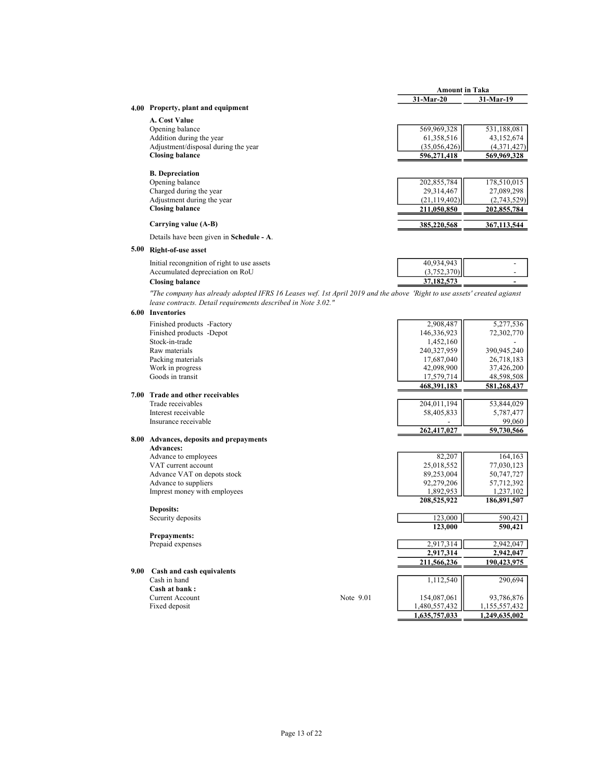|      |                                             | <b>Amount in Taka</b> |             |
|------|---------------------------------------------|-----------------------|-------------|
|      |                                             | $31-Mar-20$           | 31-Mar-19   |
| 4.00 | Property, plant and equipment               |                       |             |
|      | A. Cost Value                               |                       |             |
|      | Opening balance                             | 569,969,328           | 531,188,081 |
|      | Addition during the year                    | 61,358,516            | 43,152,674  |
|      | Adjustment/disposal during the year         | (35,056,426)          | (4,371,427) |
|      | <b>Closing balance</b>                      | 596,271,418           | 569,969,328 |
|      | <b>B.</b> Depreciation                      |                       |             |
|      | Opening balance                             | 202,855,784           | 178,510,015 |
|      | Charged during the year                     | 29,314,467            | 27,089,298  |
|      | Adjustment during the year                  | (21, 119, 402)        | (2,743,529) |
|      | <b>Closing balance</b>                      | 211,050,850           | 202,855,784 |
|      | Carrying value (A-B)                        | 385,220,568           | 367,113,544 |
|      | Details have been given in Schedule - A.    |                       |             |
| 5.00 | Right-of-use asset                          |                       |             |
|      | Initial recongnition of right to use assets | 40,934,943            |             |

| <b>Closing balance</b>                      | 37,182,573   |  |
|---------------------------------------------|--------------|--|
| Accumulated depreciation on RoU             | (3.752.370)  |  |
| initial recongnition of right to use assets | 40,934,943 1 |  |

"The company has already adopted IFRS 16 Leases wef. 1st April 2019 and the above 'Right to use assets' created agianst lease contracts. Detail requirements described in Note 3.02."

#### 6.00 Inventories

| Finished products -Factory | 2,908,487   | 5,277,536   |
|----------------------------|-------------|-------------|
| Finished products -Depot   | 146,336,923 | 72,302,770  |
| Stock-in-trade             | 1,452,160   |             |
| Raw materials              | 240,327,959 | 390,945,240 |
| Packing materials          | 17,687,040  | 26,718,183  |
| Work in progress           | 42,098,900  | 37,426,200  |
| Goods in transit           | 17.579.714  | 48,598,508  |
|                            | 468.391.183 | 581,268,437 |
|                            |             |             |

# 7.00 Trade and other receivables

Trade receivables<br>
Interest receivable<br>
153,844,029<br>
15,787,477<br>
153,844,029<br>
15,787,477<br>
153,840,029<br>
15,787,477<br>
153,840,029<br>
15,787,477<br>
153,840,029<br>
15,787,477<br>
15,060 Interest receivable Insurance receivable  $\frac{1}{262,417,027}$ 

### 8.00 Advances, deposits and prepayments

| <b>Advances:</b>             |             |             |
|------------------------------|-------------|-------------|
| Advance to employees         | 82,207      | 164,163     |
| VAT current account          | 25,018,552  | 77,030,123  |
| Advance VAT on depots stock  | 89,253,004  | 50,747,727  |
| Advance to suppliers         | 92,279,206  | 57,712,392  |
| Imprest money with employees | 1.892.953   | 1.237.102   |
|                              | 208,525,922 | 186,891,507 |

Deposits: Security deposits  $\begin{array}{|c|c|c|c|c|}\n \hline & & 123,000 & & 590,421 \\
 \hline & & 123,000 & & 590,421 \\
 \hline \end{array}$ 

Prepayments: Prepaid expenses 2,917,314 2,917,314 2,917,314 2,942,047,314 2,942,047,314 2,942,047,314 2,942,047,314 2,942,047,314 2,942,047,314 2,942,047,314 2,942,047,314 2,942,047,314 2,942,047,314 2,942,047,314 2,942,047,314 2,942,0

#### 9.00 Cash and cash equivalents

| Cash in hand    |  |
|-----------------|--|
| Cash at bank:   |  |
| Current Account |  |
| Fixed deposit   |  |

| Prepaid expenses          |             | 2,917,314     | 2.942.047     |
|---------------------------|-------------|---------------|---------------|
|                           |             | 2.917.314     | 2.942.047     |
|                           |             | 211,566,236   | 190,423,975   |
| Cash and cash equivalents |             |               |               |
| Cash in hand              |             | 1,112,540     | 290,694       |
| Cash at bank:             |             |               |               |
| Current Account           | Note $9.01$ | 154,087,061   | 93,786,876    |
| Fixed deposit             |             | 1,480,557,432 | 1,155,557,432 |
|                           |             | 1,635,757,033 | 1,249,635,002 |

 $123,000$ 

59,730,566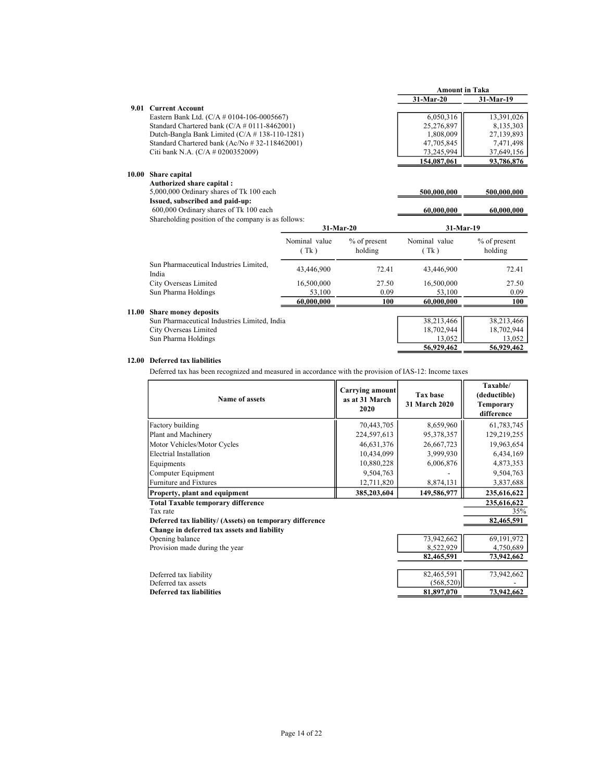|       |                                                     |               |              | <b>Amount in Taka</b> |              |
|-------|-----------------------------------------------------|---------------|--------------|-----------------------|--------------|
|       |                                                     |               |              | 31-Mar-20             | 31-Mar-19    |
|       | 9.01 Current Account                                |               |              |                       |              |
|       | Eastern Bank Ltd. (C/A # 0104-106-0005667)          |               |              | 6,050,316             | 13,391,026   |
|       | Standard Chartered bank (C/A # 0111-8462001)        |               |              | 25,276,897            | 8,135,303    |
|       | Dutch-Bangla Bank Limited $(C/A \# 138-110-1281)$   |               |              | 1,808,009             | 27,139,893   |
|       | Standard Chartered bank (Ac/No #32-118462001)       |               |              | 47,705,845            | 7,471,498    |
|       | Citi bank N.A. (C/A # 0200352009)                   |               |              | 73,245,994            | 37,649,156   |
|       |                                                     |               |              | 154,087,061           | 93,786,876   |
| 10.00 | Share capital                                       |               |              |                       |              |
|       | Authorized share capital:                           |               |              |                       |              |
|       | 5,000,000 Ordinary shares of Tk 100 each            |               |              | 500,000,000           | 500,000,000  |
|       | Issued, subscribed and paid-up:                     |               |              |                       |              |
|       | 600,000 Ordinary shares of Tk 100 each              |               |              | 60,000,000            | 60,000,000   |
|       | Shareholding position of the company is as follows: |               |              |                       |              |
|       |                                                     |               | $31-Mar-20$  | 31-Mar-19             |              |
|       |                                                     | Nominal value | % of present | Nominal value         | % of present |
|       |                                                     | (Tk)          | holding      | (Tk)                  | holding      |
|       | Sun Pharmaceutical Industries Limited.              |               |              |                       |              |
|       | India                                               | 43,446,900    | 72.41        | 43,446,900            | 72.41        |
|       | City Overseas Limited                               | 16,500,000    | 27.50        | 16,500,000            | 27.50        |
|       | Sun Pharma Holdings                                 | 53,100        | 0.09         | 53,100                | 0.09         |
|       |                                                     | 60,000,000    | 100          | 60,000,000            | 100          |
| 11.00 | <b>Share money deposits</b>                         |               |              |                       |              |
|       | Sun Pharmaceutical Industries Limited, India        |               |              | 38,213,466            | 38,213,466   |
|       | City Overseas Limited                               |               |              | 18,702,944            | 18,702,944   |
|       | Sun Pharma Holdings                                 |               |              | 13,052                | 13,052       |
|       |                                                     |               |              | 56,929,462            | 56,929,462   |

## 12.00 Deferred tax liabilities

Deferred tax has been recognized and measured in accordance with the provision of IAS-12: Income taxes

| Name of assets                                           | <b>Carrying amount</b><br>as at 31 March<br>2020 | <b>Tax base</b><br>31 March 2020 | Taxable/<br>(deductible)<br><b>Temporary</b><br>difference |
|----------------------------------------------------------|--------------------------------------------------|----------------------------------|------------------------------------------------------------|
| Factory building                                         | 70,443,705                                       | 8,659,960                        | 61,783,745                                                 |
| Plant and Machinery                                      | 224,597,613                                      | 95,378,357                       | 129,219,255                                                |
| Motor Vehicles/Motor Cycles                              | 46,631,376                                       | 26,667,723                       | 19,963,654                                                 |
| Electrial Installation                                   | 10,434,099                                       | 3,999,930                        | 6,434,169                                                  |
| Equipments                                               | 10,880,228                                       | 6,006,876                        | 4,873,353                                                  |
| Computer Equipment                                       | 9,504,763                                        |                                  | 9,504,763                                                  |
| Furniture and Fixtures                                   | 12,711,820                                       | 8,874,131                        | 3,837,688                                                  |
| Property, plant and equipment                            | 385,203,604                                      | 149,586,977                      | 235,616,622                                                |
| <b>Total Taxable temporary difference</b>                |                                                  |                                  | 235,616,622                                                |
| Tax rate                                                 |                                                  |                                  | 35%                                                        |
| Deferred tax liability/ (Assets) on temporary difference |                                                  |                                  | 82,465,591                                                 |
| Change in deferred tax assets and liability              |                                                  |                                  |                                                            |
| Opening balance                                          |                                                  | 73,942,662                       | 69,191,972                                                 |
| Provision made during the year                           |                                                  | 8,522,929                        | 4,750,689                                                  |
|                                                          |                                                  | 82,465,591                       | 73,942,662                                                 |
|                                                          |                                                  |                                  |                                                            |
| Deferred tax liability                                   |                                                  | 82,465,591                       | 73,942,662                                                 |
| Deferred tax assets                                      |                                                  | (568, 520)                       |                                                            |
| <b>Deferred tax liabilities</b>                          |                                                  | 81,897,070                       | 73,942,662                                                 |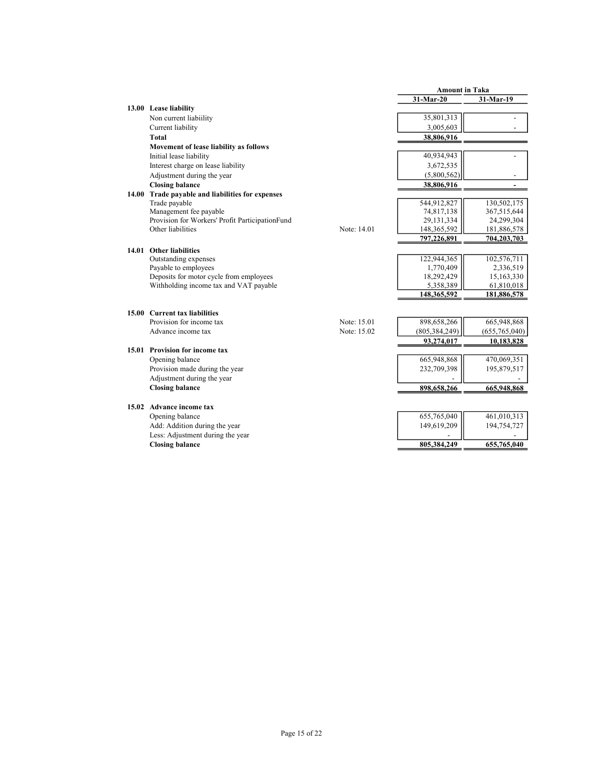|                                                  |             | <b>Amount in Taka</b> |               |  |
|--------------------------------------------------|-------------|-----------------------|---------------|--|
|                                                  |             | 31-Mar-20             | 31-Mar-19     |  |
| 13.00 Lease liability                            |             |                       |               |  |
| Non current liabiility                           |             | 35,801,313            |               |  |
| Current liability                                |             | 3,005,603             |               |  |
| Total                                            |             | 38,806,916            |               |  |
| Movement of lease liability as follows           |             |                       |               |  |
| Initial lease liability                          |             | 40,934,943            |               |  |
| Interest charge on lease liability               |             | 3,672,535             |               |  |
| Adjustment during the year                       |             | (5,800,562)           |               |  |
| <b>Closing balance</b>                           |             | 38,806,916            |               |  |
| 14.00 Trade payable and liabilities for expenses |             |                       |               |  |
| Trade payable                                    |             | 544,912,827           | 130,502,175   |  |
| Management fee payable                           |             | 74,817,138            | 367,515,644   |  |
| Provision for Workers' Profit ParticipationFund  |             | 29,131,334            | 24,299,304    |  |
| Other liabilities                                | Note: 14.01 | 148, 365, 592         | 181,886,578   |  |
|                                                  |             | 797,226,891           | 704,203,703   |  |
| 14.01 Other liabilities                          |             |                       |               |  |
| Outstanding expenses                             |             | 122,944,365           | 102,576,711   |  |
| Payable to employees                             |             | 1,770,409             | 2,336,519     |  |
| Deposits for motor cycle from employees          |             | 18,292,429            | 15,163,330    |  |
| Withholding income tax and VAT payable           |             | 5,358,389             | 61,810,018    |  |
|                                                  |             | 148,365,592           | 181,886,578   |  |
|                                                  |             |                       |               |  |
| 15.00 Current tax liabilities                    |             |                       |               |  |
| Provision for income tax                         | Note: 15.01 | 898,658,266           | 665,948,868   |  |
| Advance income tax                               | Note: 15.02 | (805, 384, 249)       | (655,765,040) |  |
|                                                  |             | 93,274,017            | 10,183,828    |  |
| 15.01 Provision for income tax                   |             |                       |               |  |
| Opening balance                                  |             | 665,948,868           | 470,069,351   |  |
| Provision made during the year                   |             | 232,709,398           | 195,879,517   |  |
| Adjustment during the year                       |             |                       |               |  |
| <b>Closing balance</b>                           |             | 898,658,266           | 665,948,868   |  |
|                                                  |             |                       |               |  |
| 15.02 Advance income tax                         |             |                       |               |  |
| Opening balance                                  |             | 655,765,040           | 461,010,313   |  |
| Add: Addition during the year                    |             | 149,619,209           | 194,754,727   |  |
| Less: Adjustment during the year                 |             |                       |               |  |
| <b>Closing balance</b>                           |             | 805,384,249           | 655,765,040   |  |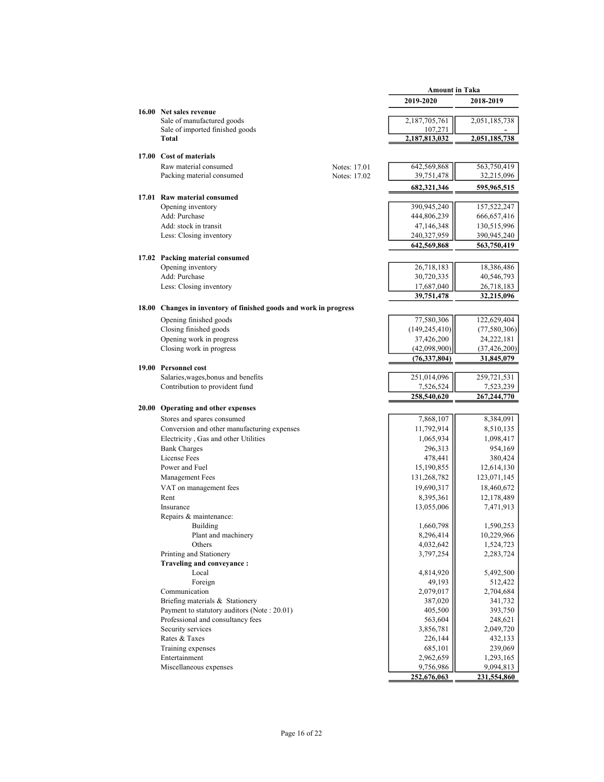|                                                                   |              | <b>Amount in Taka</b>    |                          |
|-------------------------------------------------------------------|--------------|--------------------------|--------------------------|
|                                                                   |              | 2019-2020                | 2018-2019                |
| 16.00 Net sales revenue                                           |              |                          |                          |
| Sale of manufactured goods                                        |              | 2,187,705,761            | 2,051,185,738            |
| Sale of imported finished goods                                   |              | 107,271                  |                          |
| Total                                                             |              | 2,187,813,032            | 2,051,185,738            |
| 17.00 Cost of materials                                           |              |                          |                          |
| Raw material consumed                                             | Notes: 17.01 | 642,569,868              | 563,750,419              |
| Packing material consumed                                         | Notes: 17.02 | 39,751,478               | 32,215,096               |
|                                                                   |              | 682,321,346              | 595,965,515              |
| 17.01 Raw material consumed                                       |              |                          |                          |
| Opening inventory                                                 |              | 390,945,240              | 157,522,247              |
| Add: Purchase                                                     |              | 444,806,239              | 666,657,416              |
| Add: stock in transit                                             |              | 47,146,348               | 130,515,996              |
| Less: Closing inventory                                           |              | 240,327,959              | 390,945,240              |
|                                                                   |              | 642,569,868              | 563,750,419              |
| 17.02 Packing material consumed                                   |              |                          |                          |
| Opening inventory                                                 |              | 26,718,183               | 18,386,486               |
| Add: Purchase                                                     |              | 30,720,335               | 40,546,793               |
| Less: Closing inventory                                           |              | 17,687,040               | 26,718,183               |
|                                                                   |              | 39,751,478               | 32,215,096               |
| 18.00 Changes in inventory of finished goods and work in progress |              |                          |                          |
| Opening finished goods                                            |              | 77,580,306               | 122,629,404              |
| Closing finished goods                                            |              | (149, 245, 410)          | (77,580,306)             |
| Opening work in progress                                          |              | 37,426,200               | 24,222,181               |
| Closing work in progress                                          |              | (42,098,900)             | (37, 426, 200)           |
|                                                                   |              | (76, 337, 804)           | 31,845,079               |
| 19.00 Personnel cost                                              |              |                          |                          |
| Salaries, wages, bonus and benefits                               |              | 251,014,096              | 259,721,531              |
| Contribution to provident fund                                    |              | 7,526,524<br>258,540,620 | 7,523,239<br>267,244,770 |
| 20.00 Operating and other expenses                                |              |                          |                          |
| Stores and spares consumed                                        |              | 7,868,107                | 8,384,091                |
| Conversion and other manufacturing expenses                       |              | 11,792,914               | 8,510,135                |
| Electricity, Gas and other Utilities                              |              | 1,065,934                | 1,098,417                |
| <b>Bank Charges</b>                                               |              | 296,313                  | 954,169                  |
| <b>License Fees</b>                                               |              | 478,441                  | 380,424                  |
| Power and Fuel                                                    |              | 15,190,855               | 12,614,130               |
| Management Fees                                                   |              | 131,268,782              | 123,071,145              |
| VAT on management fees                                            |              | 19,690,317               | 18,460,672               |
| Rent                                                              |              | 8,395,361                | 12,178,489               |
| Insurance                                                         |              | 13,055,006               | 7,471,913                |
| Repairs & maintenance:                                            |              |                          |                          |
| Building                                                          |              | 1,660,798                | 1,590,253                |
| Plant and machinery                                               |              | 8,296,414                | 10,229,966               |
| Others                                                            |              | 4,032,642                | 1,524,723                |
| Printing and Stationery                                           |              | 3,797,254                | 2,283,724                |
| Traveling and conveyance:                                         |              |                          |                          |
| Local                                                             |              | 4,814,920                | 5,492,500                |
| Foreign                                                           |              | 49,193                   | 512,422                  |
| Communication                                                     |              | 2,079,017                | 2,704,684                |
| Briefing materials & Stationery                                   |              | 387,020                  | 341,732                  |
| Payment to statutory auditors (Note: 20.01)                       |              | 405,500                  | 393,750                  |
| Professional and consultancy fees                                 |              | 563,604                  | 248,621                  |
| Security services                                                 |              | 3,856,781                | 2,049,720                |
| Rates & Taxes                                                     |              | 226,144                  | 432,133                  |
| Training expenses                                                 |              | 685,101                  | 239,069                  |
| Entertainment                                                     |              | 2,962,659                | 1,293,165                |
| Miscellaneous expenses                                            |              | 9,756,986<br>252,676,063 | 9,094,813<br>231,554,860 |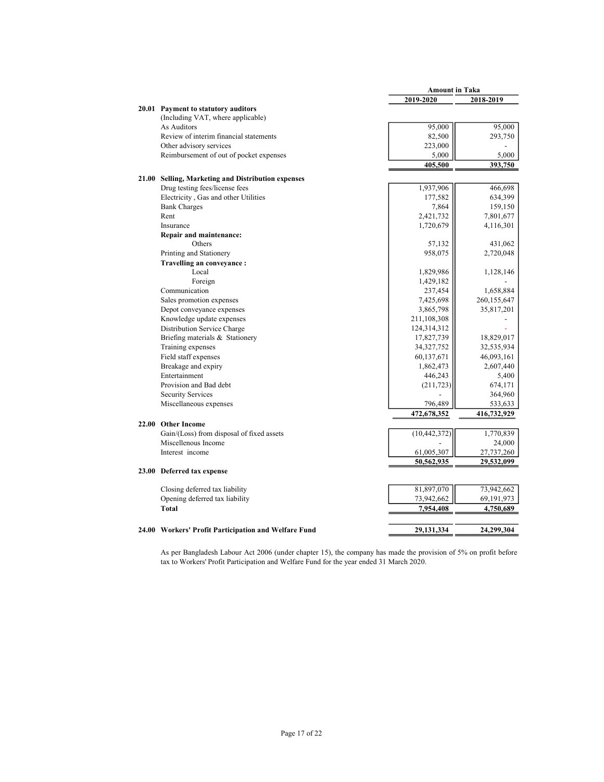|                                                             | <b>Amount in Taka</b> |             |  |
|-------------------------------------------------------------|-----------------------|-------------|--|
|                                                             | 2019-2020             | 2018-2019   |  |
| 20.01 Payment to statutory auditors                         |                       |             |  |
| (Including VAT, where applicable)                           |                       |             |  |
| As Auditors                                                 | 95,000                | 95,000      |  |
| Review of interim financial statements                      | 82,500                | 293,750     |  |
| Other advisory services                                     | 223,000               |             |  |
| Reimbursement of out of pocket expenses                     | 5,000                 | 5,000       |  |
|                                                             | 405,500               | 393,750     |  |
| 21.00 Selling, Marketing and Distribution expenses          |                       |             |  |
| Drug testing fees/license fees                              | 1,937,906             | 466,698     |  |
|                                                             | 177,582               | 634,399     |  |
| Electricity, Gas and other Utilities<br><b>Bank Charges</b> |                       |             |  |
| Rent                                                        | 7,864                 | 159,150     |  |
| Insurance                                                   | 2,421,732             | 7,801,677   |  |
|                                                             | 1,720,679             | 4,116,301   |  |
| <b>Repair and maintenance:</b>                              |                       |             |  |
| Others                                                      | 57,132                | 431,062     |  |
| Printing and Stationery                                     | 958,075               | 2,720,048   |  |
| Travelling an conveyance:                                   |                       |             |  |
| Local                                                       | 1,829,986             | 1,128,146   |  |
| Foreign                                                     | 1,429,182             |             |  |
| Communication                                               | 237,454               | 1,658,884   |  |
| Sales promotion expenses                                    | 7,425,698             | 260,155,647 |  |
| Depot conveyance expenses                                   | 3,865,798             | 35,817,201  |  |
| Knowledge update expenses                                   | 211,108,308           |             |  |
| Distribution Service Charge                                 | 124,314,312           |             |  |
| Briefing materials & Stationery                             | 17,827,739            | 18,829,017  |  |
| Training expenses                                           | 34, 327, 752          | 32,535,934  |  |
| Field staff expenses                                        | 60,137,671            | 46,093,161  |  |
| Breakage and expiry                                         | 1,862,473             | 2,607,440   |  |
| Entertainment                                               | 446,243               | 5,400       |  |
| Provision and Bad debt                                      | (211, 723)            | 674,171     |  |
| <b>Security Services</b>                                    |                       | 364,960     |  |
| Miscellaneous expenses                                      | 796,489               | 533,633     |  |
|                                                             | 472,678,352           | 416,732,929 |  |
| 22.00 Other Income                                          |                       |             |  |
| Gain/(Loss) from disposal of fixed assets                   | (10, 442, 372)        | 1,770,839   |  |
| Miscellenous Income                                         |                       | 24,000      |  |
| Interest income                                             | 61,005,307            | 27,737,260  |  |
|                                                             | 50,562,935            | 29,532,099  |  |
| 23.00 Deferred tax expense                                  |                       |             |  |
|                                                             |                       |             |  |
| Closing deferred tax liability                              | 81,897,070            | 73,942,662  |  |
| Opening deferred tax liability                              | 73,942,662            | 69,191,973  |  |
| <b>Total</b>                                                | 7,954,408             | 4,750,689   |  |
|                                                             |                       |             |  |
| 24.00 Workers' Profit Participation and Welfare Fund        | 29, 131, 334          | 24,299,304  |  |
|                                                             |                       |             |  |

As per Bangladesh Labour Act 2006 (under chapter 15), the company has made the provision of 5% on profit before tax to Workers' Profit Participation and Welfare Fund for the year ended 31 March 2020.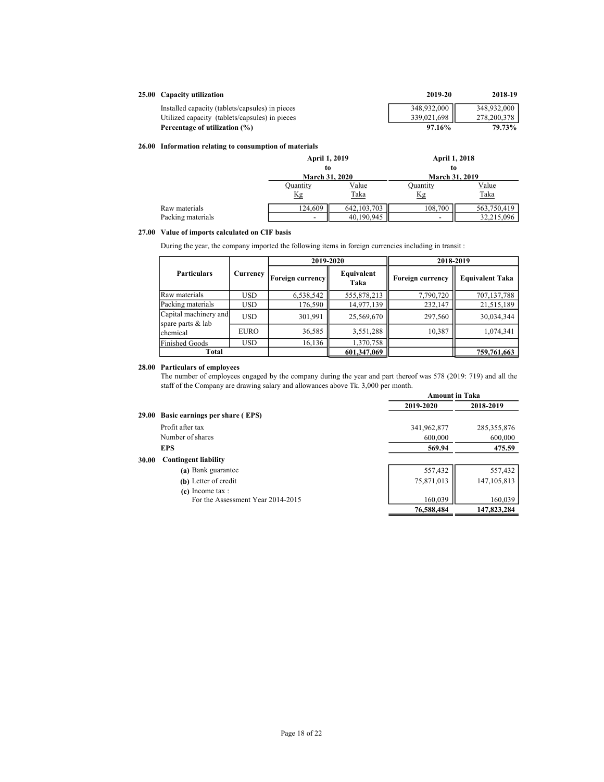| 25.00 Capacity utilization                      | 2019-20     | 2018-19     |
|-------------------------------------------------|-------------|-------------|
| Installed capacity (tablets/capsules) in pieces | 348,932,000 | 348,932,000 |
| Utilized capacity (tablets/capsules) in pieces  | 339,021,698 | 278,200,378 |
| Percentage of utilization (%)                   | 97.16%      | 79.73%      |

### 26.00 Information relating to consumption of materials

|                   | April 1, 2019               |               | April 1, 2018            |              |
|-------------------|-----------------------------|---------------|--------------------------|--------------|
|                   | to<br><b>March 31, 2020</b> |               | to                       |              |
|                   |                             |               | <b>March 31, 2019</b>    |              |
|                   | Quantity                    | Value         | Quantity                 | <u>Value</u> |
|                   | Kg                          | Taka          | Kg                       | Taka         |
| Raw materials     | 124,609                     | 642, 103, 703 | 108,700                  | 563,750,419  |
| Packing materials | $\overline{\phantom{a}}$    | 40,190,945    | $\overline{\phantom{a}}$ | 32,215,096   |

#### 27.00 Value of imports calculated on CIF basis

During the year, the company imported the following items in foreign currencies including in transit :

|                                            |             | 2019-2020        |                    | 2018-2019               |                        |
|--------------------------------------------|-------------|------------------|--------------------|-------------------------|------------------------|
| <b>Particulars</b>                         | Currency    | Foreign currency | Equivalent<br>Taka | <b>Foreign currency</b> | <b>Equivalent Taka</b> |
| Raw materials                              | <b>USD</b>  | 6,538,542        | 555,878,213        | 7,790,720               | 707,137,788            |
| Packing materials                          | <b>USD</b>  | 176,590          | 14,977,139         | 232,147                 | 21,515,189             |
| Capital machinery and<br>spare parts & lab | <b>USD</b>  | 301,991          | 25,569,670         | 297,560                 | 30,034,344             |
| chemical                                   | <b>EURO</b> | 36,585           | 3,551,288          | 10,387                  | 1,074,341              |
| <b>Finished Goods</b>                      | <b>USD</b>  | 16,136           | 1,370,758          |                         |                        |
| Total                                      |             |                  | 601,347,069        |                         | 759,761,663            |

#### 28.00 Particulars of employees

The number of employees engaged by the company during the year and part thereof was 578 (2019: 719) and all the staff of the Company are drawing salary and allowances above Tk. 3,000 per month.

|                                                |             | <b>Amount in Taka</b> |  |
|------------------------------------------------|-------------|-----------------------|--|
|                                                | 2019-2020   | 2018-2019             |  |
| Basic earnings per share (EPS)<br><b>29.00</b> |             |                       |  |
| Profit after tax                               | 341,962,877 | 285, 355, 876         |  |
| Number of shares                               | 600,000     | 600,000               |  |
| <b>EPS</b>                                     | 569.94      | 475.59                |  |
| <b>Contingent liability</b><br>30.00           |             |                       |  |
| (a) Bank guarantee                             | 557,432     | 557,432               |  |
| (b) Letter of credit                           | 75,871,013  | 147, 105, 813         |  |
| $(c)$ Income tax :                             |             |                       |  |
| For the Assessment Year 2014-2015              | 160,039     | 160,039               |  |
|                                                | 76,588,484  | 147,823,284           |  |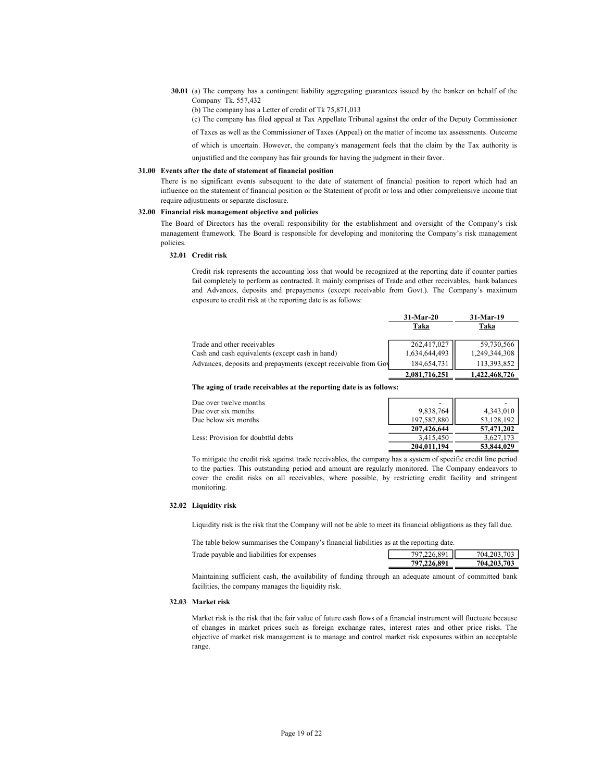30.01 (a) The company has a contingent liability aggregating guarantees issued by the banker on behalf of the Company Tk. 557,432

(b) The company has a Letter of credit of Tk 75,871,013

(c) The company has filed appeal at Tax Appellate Tribunal against the order of the Deputy Commissioner

of Taxes as well as the Commissioner of Taxes (Appeal) on the matter of income tax assessments. Outcome

of which is uncertain. However, the company's management feels that the claim by the Tax authority is

unjustified and the company has fair grounds for having the judgment in their favor.

#### 31.00 Events after the date of statement of financial position

There is no significant events subsequent to the date of statement of financial position to report which had an influence on the statement of financial position or the Statement of profit or loss and other comprehensive income that require adjustments or separate disclosure.

#### 32.00 Financial risk management objective and policies

The Board of Directors has the overall responsibility for the establishment and oversight of the Company's risk management framework. The Board is responsible for developing and monitoring the Company's risk management policies.

#### 32.01 Credit risk

Credit risk represents the accounting loss that would be recognized at the reporting date if counter parties fail completely to perform as contracted. It mainly comprises of Trade and other receivables, bank balances and Advances, deposits and prepayments (except receivable from Govt.). The Company's maximum exposure to credit risk at the reporting date is as follows:

|                                                                | $31-Mar-20$   | 31-Mar-19     |
|----------------------------------------------------------------|---------------|---------------|
|                                                                | Taka          | Taka          |
|                                                                |               |               |
| Trade and other receivables                                    | 262,417,027   | 59,730,566    |
| Cash and cash equivalents (except cash in hand)                | 1,634,644,493 | 1,249,344,308 |
| Advances, deposits and prepayments (except receivable from Gov | 184,654,731   | 113,393,852   |
|                                                                | 2,081,716,251 | 1,422,468,726 |

#### The aging of trade receivables at the reporting date is as follows:

| Due over twelve months             | $\overline{\phantom{a}}$ |            |
|------------------------------------|--------------------------|------------|
| Due over six months                | 9,838,764                | 4,343,010  |
| Due below six months               | 197,587,880              | 53.128.192 |
|                                    | 207,426,644              | 57,471,202 |
| Less: Provision for doubtful debts | 3.415.450                | 3.627.173  |
|                                    | 204.011.194              | 53,844,029 |

To mitigate the credit risk against trade receivables, the company has a system of specific credit line period to the parties. This outstanding period and amount are regularly monitored. The Company endeavors to cover the credit risks on all receivables, where possible, by restricting credit facility and stringent monitoring.

#### 32.02 Liquidity risk

Liquidity risk is the risk that the Company will not be able to meet its financial obligations as they fall due.

The table below summarises the Company's financial liabilities as at the reporting date.

| Trade payable and liabilities for expenses | 797.226.891 II | 704, 203, 703 |
|--------------------------------------------|----------------|---------------|
|                                            | 797,226,891    | 704,203,703   |

Maintaining sufficient cash, the availability of funding through an adequate amount of committed bank facilities, the company manages the liquidity risk.

#### 32.03 Market risk

Market risk is the risk that the fair value of future cash flows of a financial instrument will fluctuate because of changes in market prices such as foreign exchange rates, interest rates and other price risks. The objective of market risk management is to manage and control market risk exposures within an acceptable range.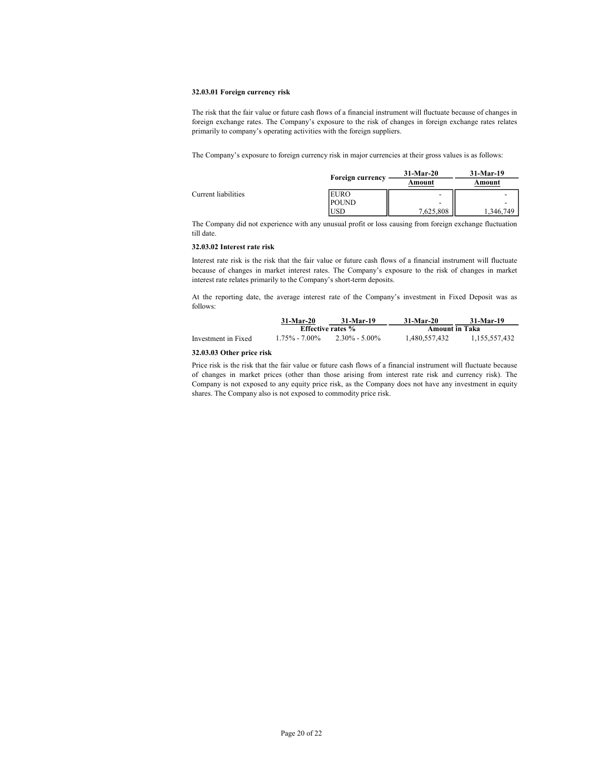#### 32.03.01 Foreign currency risk

The risk that the fair value or future cash flows of a financial instrument will fluctuate because of changes in foreign exchange rates. The Company's exposure to the risk of changes in foreign exchange rates relates primarily to company's operating activities with the foreign suppliers.

The Company's exposure to foreign currency risk in major currencies at their gross values is as follows:

|                     | <b>Foreign currency</b> | $31-Mar-20$              | 31-Mar-19 |  |  |
|---------------------|-------------------------|--------------------------|-----------|--|--|
|                     |                         | Amount                   | Amount    |  |  |
| Current liabilities | <b>EURO</b>             | $\overline{\phantom{a}}$ | -         |  |  |
|                     | POUND                   | $\overline{\phantom{0}}$ | -         |  |  |
|                     | USD                     | 7,625,808                | 1,346,749 |  |  |

The Company did not experience with any unusual profit or loss causing from foreign exchange fluctuation till date.

#### 32.03.02 Interest rate risk

Interest rate risk is the risk that the fair value or future cash flows of a financial instrument will fluctuate because of changes in market interest rates. The Company's exposure to the risk of changes in market interest rate relates primarily to the Company's short-term deposits.

At the reporting date, the average interest rate of the Company's investment in Fixed Deposit was as follows:

|                     | $31-Mar-20$       | 31-Mar-19                | 31-Mar-20             | 31-Mar-19     |  |
|---------------------|-------------------|--------------------------|-----------------------|---------------|--|
|                     |                   | <b>Effective rates %</b> | <b>Amount in Taka</b> |               |  |
| Investment in Fixed | $1.75\% - 7.00\%$ | $2.30\% - 5.00\%$        | 1.480.557.432         | 1.155.557.432 |  |

#### 32.03.03 Other price risk

Price risk is the risk that the fair value or future cash flows of a financial instrument will fluctuate because of changes in market prices (other than those arising from interest rate risk and currency risk). The Company is not exposed to any equity price risk, as the Company does not have any investment in equity shares. The Company also is not exposed to commodity price risk.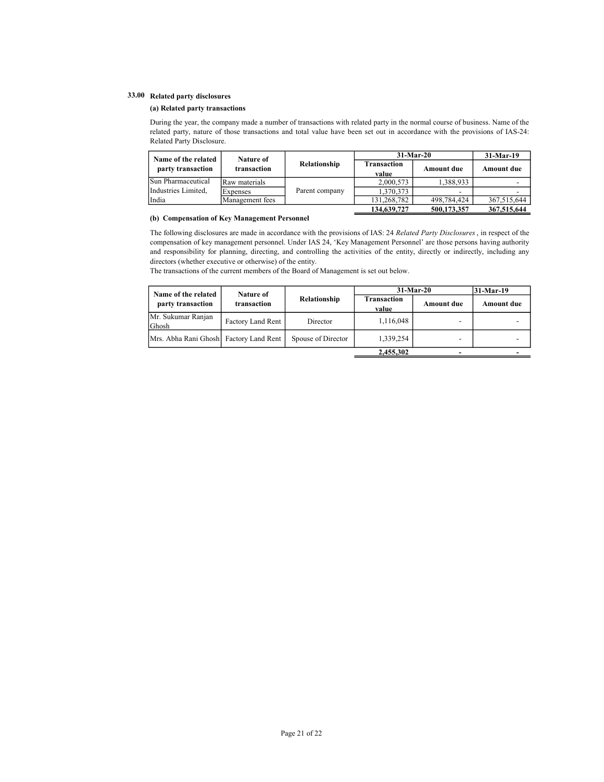#### 33.00 Related party disclosures

#### (a) Related party transactions

During the year, the company made a number of transactions with related party in the normal course of business. Name of the related party, nature of those transactions and total value have been set out in accordance with the provisions of IAS-24: Related Party Disclosure.

| Name of the related | Nature of       |                | $31-Mar-20$          | $31-Mar-19$ |                   |  |
|---------------------|-----------------|----------------|----------------------|-------------|-------------------|--|
| party transaction   | transaction     | Relationship   | Transaction<br>value | Amount due  | <b>Amount due</b> |  |
| Sun Pharmaceutical  | Raw materials   |                | 2,000,573            | 1,388,933   |                   |  |
| Industries Limited. | Expenses        | Parent company | 1,370,373            |             |                   |  |
| India               | Management fees |                | 131,268,782          | 498,784,424 | 367,515,644       |  |
|                     |                 |                | 134,639,727          | 500,173,357 | 367, 515, 644     |  |

#### (b) Compensation of Key Management Personnel

The following disclosures are made in accordance with the provisions of IAS: 24 Related Party Disclosures, in respect of the compensation of key management personnel. Under IAS 24, 'Key Management Personnel' are those persons having authority and responsibility for planning, directing, and controlling the activities of the entity, directly or indirectly, including any directors (whether executive or otherwise) of the entity.

The transactions of the current members of the Board of Management is set out below.

| Name of the related                    | Nature of         |                    | $31-Mar-20$                 | $ 31-Mar-19 $     |                   |
|----------------------------------------|-------------------|--------------------|-----------------------------|-------------------|-------------------|
| party transaction                      | transaction       | Relationship       | <b>Transaction</b><br>value | <b>Amount due</b> | <b>Amount due</b> |
| Mr. Sukumar Ranjan<br>Ghosh            | Factory Land Rent | Director           | 1,116,048                   |                   |                   |
| Mrs. Abha Rani Ghosh Factory Land Rent |                   | Spouse of Director | 1,339,254                   |                   |                   |
|                                        |                   |                    | 2,455,302                   |                   |                   |